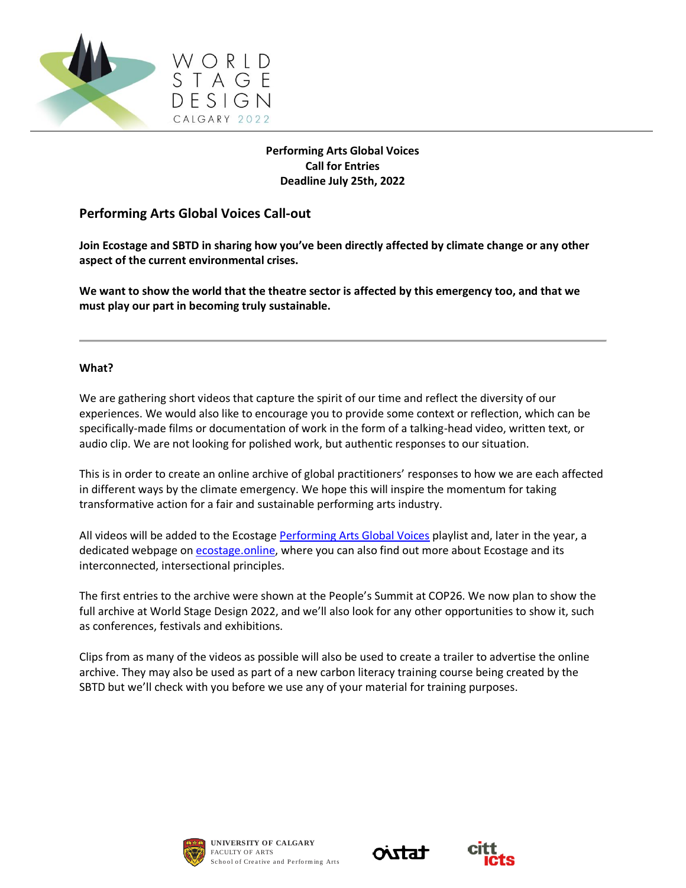

# **Performing Arts Global Voices Call for Entries Deadline July 25th, 2022**

# **Performing Arts Global Voices Call-out**

**Join Ecostage and SBTD in sharing how you've been directly affected by climate change or any other aspect of the current environmental crises.**

**We want to show the world that the theatre sector is affected by this emergency too, and that we must play our part in becoming truly sustainable.**

## **What?**

We are gathering short videos that capture the spirit of our time and reflect the diversity of our experiences. We would also like to encourage you to provide some context or reflection, which can be specifically-made films or documentation of work in the form of a talking-head video, written text, or audio clip. We are not looking for polished work, but authentic responses to our situation.

This is in order to create an online archive of global practitioners' responses to how we are each affected in different ways by the climate emergency. We hope this will inspire the momentum for taking transformative action for a fair and sustainable performing arts industry.

All videos will be added to the Ecostage [Performing Arts Global Voices](https://www.youtube.com/watch?v=SxlUxp_qeI0&list=PLlc4XbAjDDvKFUAzkWZ_jSMF7-KiA-oHm) playlist and, later in the year, a dedicated webpage on [ecostage.online,](https://ecostage.online/) where you can also find out more about Ecostage and its interconnected, intersectional principles.

The first entries to the archive were shown at the People's Summit at COP26. We now plan to show the full archive at World Stage Design 2022, and we'll also look for any other opportunities to show it, such as conferences, festivals and exhibitions.

Clips from as many of the videos as possible will also be used to create a trailer to advertise the online archive. They may also be used as part of a new carbon literacy training course being created by the SBTD but we'll check with you before we use any of your material for training purposes.